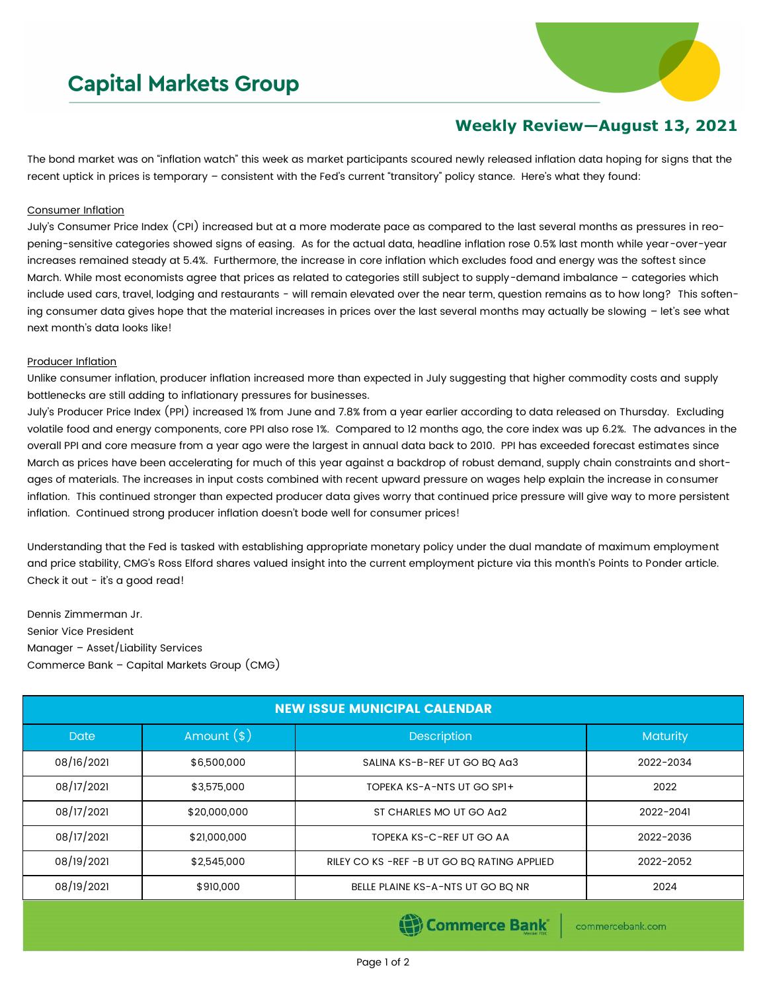## **Capital Markets Group**



## **Weekly Review—August 13, 2021**

The bond market was on "inflation watch" this week as market participants scoured newly released inflation data hoping for signs that the recent uptick in prices is temporary – consistent with the Fed's current "transitory" policy stance. Here's what they found:

## Consumer Inflation

July's Consumer Price Index (CPI) increased but at a more moderate pace as compared to the last several months as pressures in reopening-sensitive categories showed signs of easing. As for the actual data, headline inflation rose 0.5% last month while year-over-year increases remained steady at 5.4%. Furthermore, the increase in core inflation which excludes food and energy was the softest since March. While most economists agree that prices as related to categories still subject to supply-demand imbalance – categories which include used cars, travel, lodging and restaurants - will remain elevated over the near term, question remains as to how long? This softening consumer data gives hope that the material increases in prices over the last several months may actually be slowing – let's see what next month's data looks like!

## Producer Inflation

Unlike consumer inflation, producer inflation increased more than expected in July suggesting that higher commodity costs and supply bottlenecks are still adding to inflationary pressures for businesses.

July's Producer Price Index (PPI) increased 1% from June and 7.8% from a year earlier according to data released on Thursday. Excluding volatile food and energy components, core PPI also rose 1%. Compared to 12 months ago, the core index was up 6.2%. The advances in the overall PPI and core measure from a year ago were the largest in annual data back to 2010. PPI has exceeded forecast estimates since March as prices have been accelerating for much of this year against a backdrop of robust demand, supply chain constraints and shortages of materials. The increases in input costs combined with recent upward pressure on wages help explain the increase in consumer inflation. This continued stronger than expected producer data gives worry that continued price pressure will give way to more persistent inflation. Continued strong producer inflation doesn't bode well for consumer prices!

Understanding that the Fed is tasked with establishing appropriate monetary policy under the dual mandate of maximum employment and price stability, CMG's Ross Elford shares valued insight into the current employment picture via this month's Points to Ponder article. Check it out - it's a good read!

Dennis Zimmerman Jr. Senior Vice President Manager – Asset/Liability Services Commerce Bank – Capital Markets Group (CMG)

| <b>NEW ISSUE MUNICIPAL CALENDAR</b> |              |                                               |           |  |  |  |  |
|-------------------------------------|--------------|-----------------------------------------------|-----------|--|--|--|--|
| <b>Date</b>                         | Amount $(*)$ | <b>Description</b>                            | Maturity  |  |  |  |  |
| 08/16/2021                          | \$6,500,000  | SALINA KS-B-REF UT GO BQ Aa3                  | 2022-2034 |  |  |  |  |
| 08/17/2021                          | \$3,575,000  | TOPEKA KS-A-NTS UT GO SPI+                    | 2022      |  |  |  |  |
| 08/17/2021                          | \$20,000,000 | ST CHARLES MO UT GO AG2                       | 2022-2041 |  |  |  |  |
| 08/17/2021                          | \$21,000,000 | TOPEKA KS-C-REF UT GO AA                      | 2022-2036 |  |  |  |  |
| 08/19/2021                          | \$2,545,000  | RILEY CO KS - REF - B UT GO BQ RATING APPLIED | 2022-2052 |  |  |  |  |
| 08/19/2021                          | \$910,000    | BELLE PLAINE KS-A-NTS UT GO BQ NR             | 2024      |  |  |  |  |
|                                     |              |                                               |           |  |  |  |  |

(B) Commerce Bank

commercebank.com